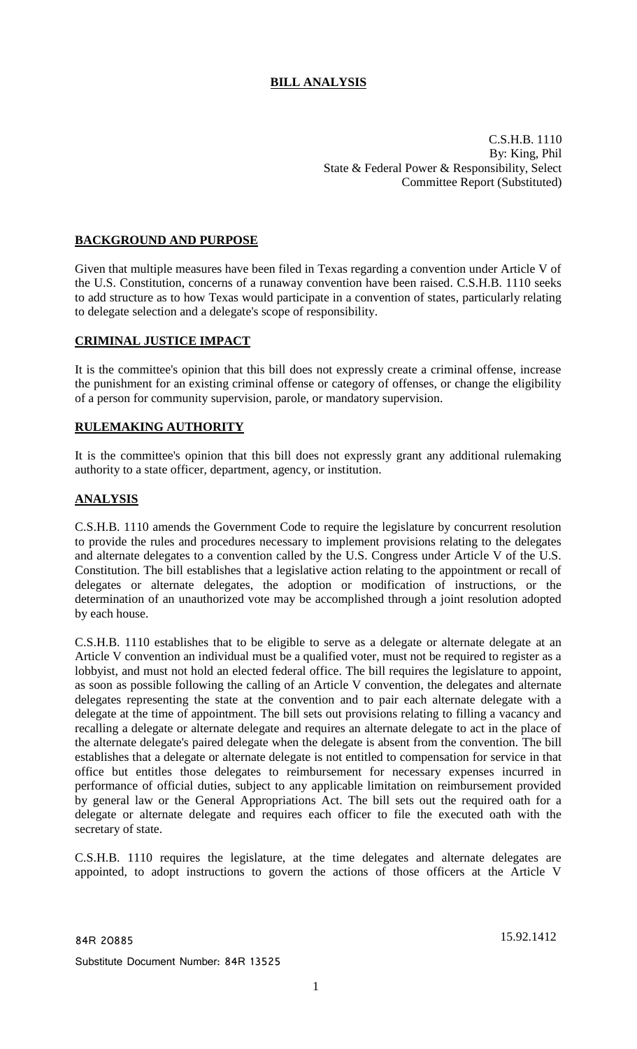# **BILL ANALYSIS**

C.S.H.B. 1110 By: King, Phil State & Federal Power & Responsibility, Select Committee Report (Substituted)

## **BACKGROUND AND PURPOSE**

Given that multiple measures have been filed in Texas regarding a convention under Article V of the U.S. Constitution, concerns of a runaway convention have been raised. C.S.H.B. 1110 seeks to add structure as to how Texas would participate in a convention of states, particularly relating to delegate selection and a delegate's scope of responsibility.

## **CRIMINAL JUSTICE IMPACT**

It is the committee's opinion that this bill does not expressly create a criminal offense, increase the punishment for an existing criminal offense or category of offenses, or change the eligibility of a person for community supervision, parole, or mandatory supervision.

## **RULEMAKING AUTHORITY**

It is the committee's opinion that this bill does not expressly grant any additional rulemaking authority to a state officer, department, agency, or institution.

## **ANALYSIS**

C.S.H.B. 1110 amends the Government Code to require the legislature by concurrent resolution to provide the rules and procedures necessary to implement provisions relating to the delegates and alternate delegates to a convention called by the U.S. Congress under Article V of the U.S. Constitution. The bill establishes that a legislative action relating to the appointment or recall of delegates or alternate delegates, the adoption or modification of instructions, or the determination of an unauthorized vote may be accomplished through a joint resolution adopted by each house.

C.S.H.B. 1110 establishes that to be eligible to serve as a delegate or alternate delegate at an Article V convention an individual must be a qualified voter, must not be required to register as a lobbyist, and must not hold an elected federal office. The bill requires the legislature to appoint, as soon as possible following the calling of an Article V convention, the delegates and alternate delegates representing the state at the convention and to pair each alternate delegate with a delegate at the time of appointment. The bill sets out provisions relating to filling a vacancy and recalling a delegate or alternate delegate and requires an alternate delegate to act in the place of the alternate delegate's paired delegate when the delegate is absent from the convention. The bill establishes that a delegate or alternate delegate is not entitled to compensation for service in that office but entitles those delegates to reimbursement for necessary expenses incurred in performance of official duties, subject to any applicable limitation on reimbursement provided by general law or the General Appropriations Act. The bill sets out the required oath for a delegate or alternate delegate and requires each officer to file the executed oath with the secretary of state.

C.S.H.B. 1110 requires the legislature, at the time delegates and alternate delegates are appointed, to adopt instructions to govern the actions of those officers at the Article V

84R 20885 15.92.1412

Substitute Document Number: 84R 13525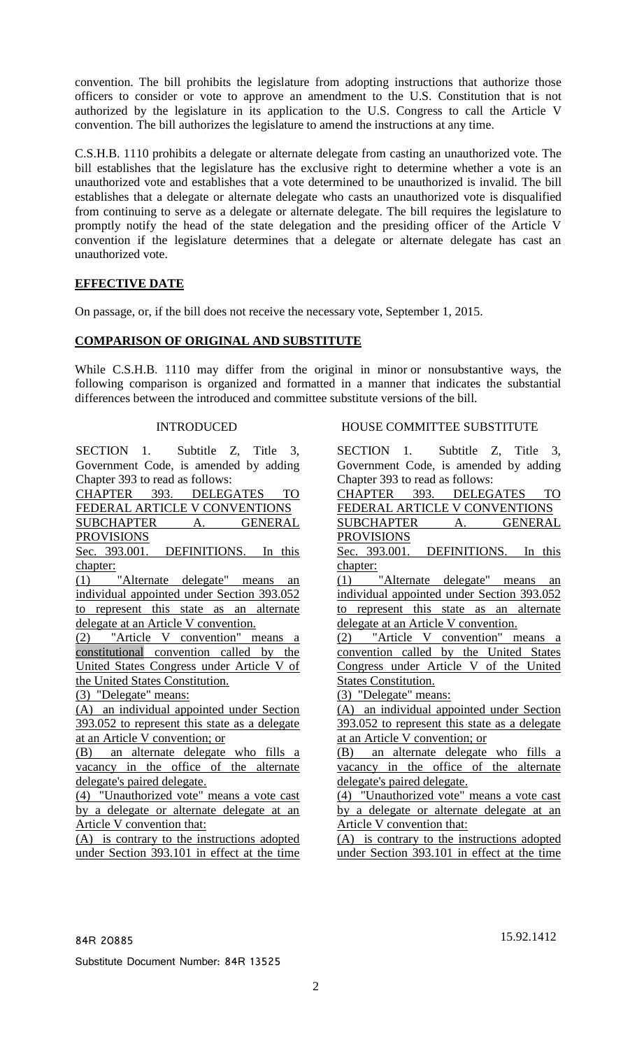convention. The bill prohibits the legislature from adopting instructions that authorize those officers to consider or vote to approve an amendment to the U.S. Constitution that is not authorized by the legislature in its application to the U.S. Congress to call the Article V convention. The bill authorizes the legislature to amend the instructions at any time.

C.S.H.B. 1110 prohibits a delegate or alternate delegate from casting an unauthorized vote. The bill establishes that the legislature has the exclusive right to determine whether a vote is an unauthorized vote and establishes that a vote determined to be unauthorized is invalid. The bill establishes that a delegate or alternate delegate who casts an unauthorized vote is disqualified from continuing to serve as a delegate or alternate delegate. The bill requires the legislature to promptly notify the head of the state delegation and the presiding officer of the Article V convention if the legislature determines that a delegate or alternate delegate has cast an unauthorized vote.

## **EFFECTIVE DATE**

On passage, or, if the bill does not receive the necessary vote, September 1, 2015.

## **COMPARISON OF ORIGINAL AND SUBSTITUTE**

While C.S.H.B. 1110 may differ from the original in minor or nonsubstantive ways, the following comparison is organized and formatted in a manner that indicates the substantial differences between the introduced and committee substitute versions of the bill.

SECTION 1. Subtitle Z, Title 3, Government Code, is amended by adding Chapter 393 to read as follows: CHAPTER 393. DELEGATES TO FEDERAL ARTICLE V CONVENTIONS

SUBCHAPTER A. GENERAL

PROVISIONS

Sec. 393.001. DEFINITIONS. In this chapter:

(1) "Alternate delegate" means an individual appointed under Section 393.052 to represent this state as an alternate delegate at an Article V convention.

(2) "Article V convention" means a constitutional convention called by the United States Congress under Article V of the United States Constitution.

(3) "Delegate" means:

(A) an individual appointed under Section 393.052 to represent this state as a delegate at an Article V convention; or

(B) an alternate delegate who fills a vacancy in the office of the alternate delegate's paired delegate.

(4) "Unauthorized vote" means a vote cast by a delegate or alternate delegate at an Article V convention that:

(A) is contrary to the instructions adopted under Section 393.101 in effect at the time

### INTRODUCED HOUSE COMMITTEE SUBSTITUTE

SECTION 1. Subtitle Z, Title 3, Government Code, is amended by adding Chapter 393 to read as follows: CHAPTER 393. DELEGATES TO FEDERAL ARTICLE V CONVENTIONS SUBCHAPTER A. GENERAL PROVISIONS Sec. 393.001. DEFINITIONS. In this chapter: (1) "Alternate delegate" means an individual appointed under Section 393.052 to represent this state as an alternate delegate at an Article V convention. (2) "Article V convention" means a convention called by the United States Congress under Article V of the United States Constitution. (3) "Delegate" means: (A) an individual appointed under Section 393.052 to represent this state as a delegate at an Article V convention; or (B) an alternate delegate who fills a vacancy in the office of the alternate delegate's paired delegate. (4) "Unauthorized vote" means a vote cast by a delegate or alternate delegate at an Article V convention that: (A) is contrary to the instructions adopted under Section 393.101 in effect at the time

Substitute Document Number: 84R 13525